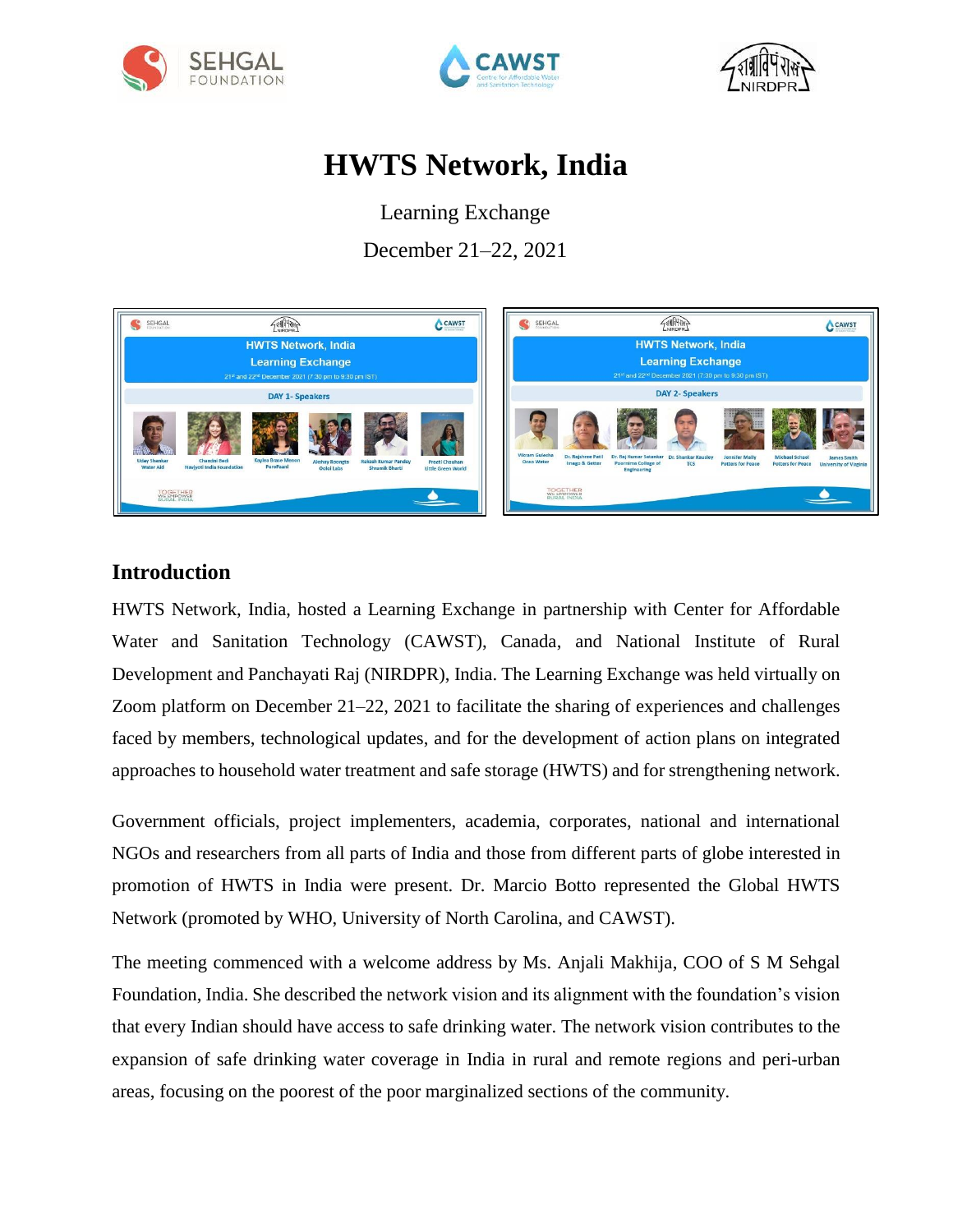





# **HWTS Network, India**

Learning Exchange

December 21–22, 2021



### **Introduction**

HWTS Network, India, hosted a Learning Exchange in partnership with Center for Affordable Water and Sanitation Technology (CAWST), Canada, and National Institute of Rural Development and Panchayati Raj (NIRDPR), India. The Learning Exchange was held virtually on Zoom platform on December 21–22, 2021 to facilitate the sharing of experiences and challenges faced by members, technological updates, and for the development of action plans on integrated approaches to household water treatment and safe storage (HWTS) and for strengthening network.

Government officials, project implementers, academia, corporates, national and international NGOs and researchers from all parts of India and those from different parts of globe interested in promotion of HWTS in India were present. Dr. Marcio Botto represented the Global HWTS Network (promoted by WHO, University of North Carolina, and CAWST).

The meeting commenced with a welcome address by Ms. Anjali Makhija, COO of S M Sehgal Foundation, India. She described the network vision and its alignment with the foundation's vision that every Indian should have access to safe drinking water. The network vision contributes to the expansion of safe drinking water coverage in India in rural and remote regions and peri-urban areas, focusing on the poorest of the poor marginalized sections of the community.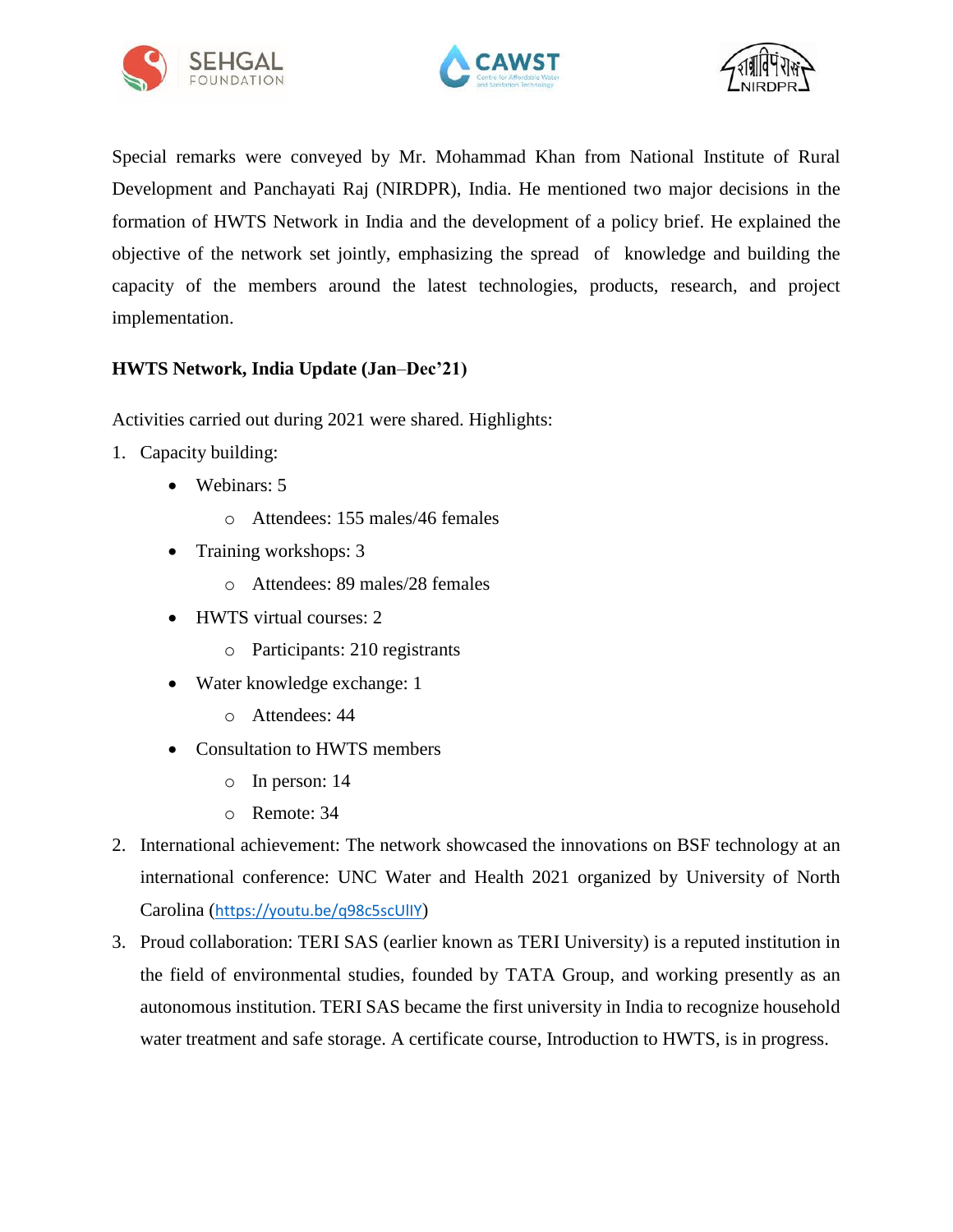





Special remarks were conveyed by Mr. Mohammad Khan from National Institute of Rural Development and Panchayati Raj (NIRDPR), India. He mentioned two major decisions in the formation of HWTS Network in India and the development of a policy brief. He explained the objective of the network set jointly, emphasizing the spread of knowledge and building the capacity of the members around the latest technologies, products, research, and project implementation.

#### **HWTS Network, India Update (Jan**–**Dec'21)**

Activities carried out during 2021 were shared. Highlights:

- 1. Capacity building:
	- Webinars: 5
		- o Attendees: 155 males/46 females
	- Training workshops: 3
		- o Attendees: 89 males/28 females
	- HWTS virtual courses: 2
		- o Participants: 210 registrants
	- Water knowledge exchange: 1
		- o Attendees: 44
	- Consultation to HWTS members
		- o In person: 14
		- o Remote: 34
- 2. International achievement: The network showcased the innovations on BSF technology at an international conference: UNC Water and Health 2021 organized by University of North Carolina (<https://youtu.be/q98c5scUlIY>)
- 3. Proud collaboration: TERI SAS (earlier known as TERI University) is a reputed institution in the field of environmental studies, founded by TATA Group, and working presently as an autonomous institution. TERI SAS became the first university in India to recognize household water treatment and safe storage. A certificate course, Introduction to HWTS, is in progress.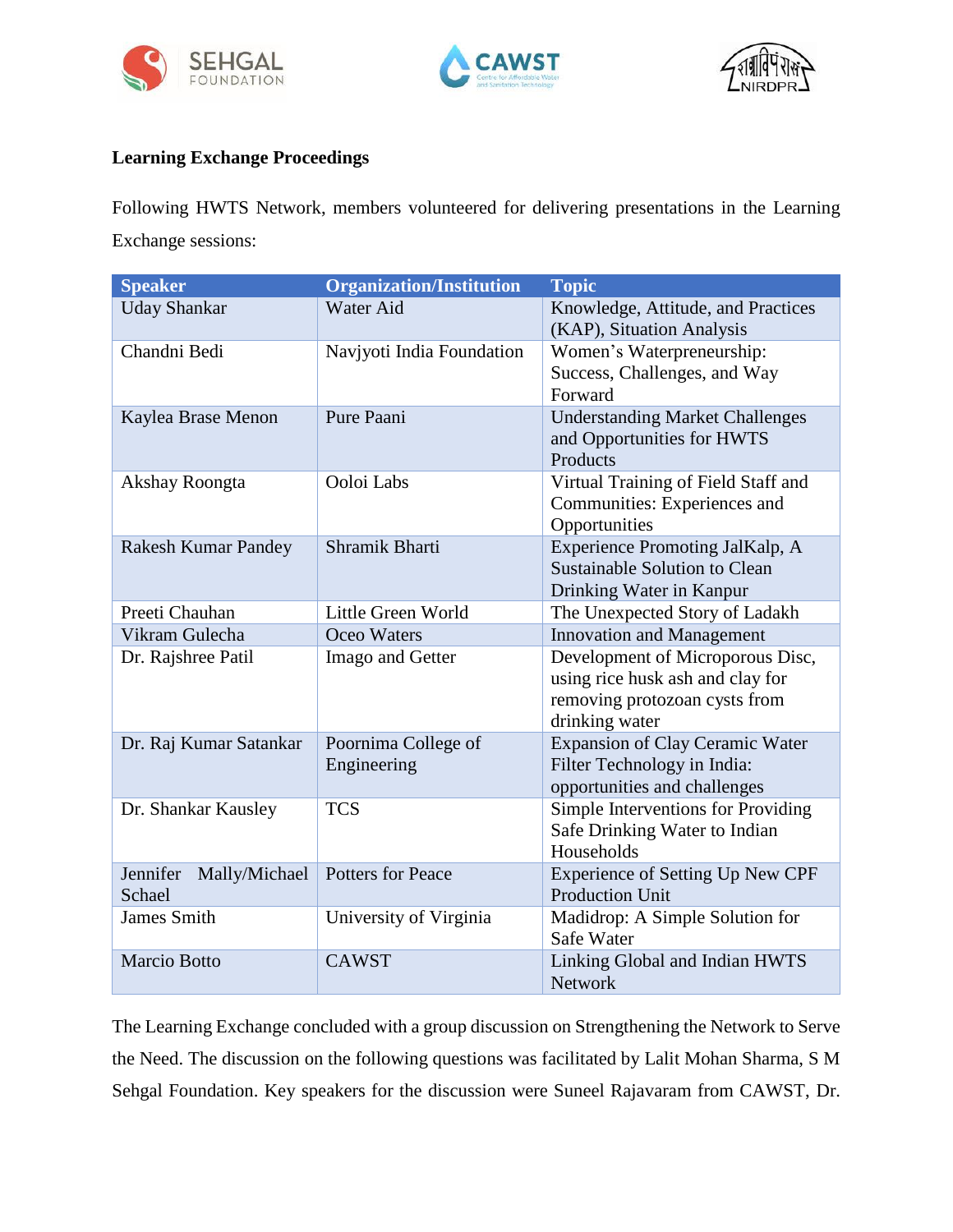





#### **Learning Exchange Proceedings**

Following HWTS Network, members volunteered for delivering presentations in the Learning Exchange sessions:

| <b>Speaker</b>                      | <b>Organization/Institution</b>    | <b>Topic</b>                                                                                                            |
|-------------------------------------|------------------------------------|-------------------------------------------------------------------------------------------------------------------------|
| <b>Uday Shankar</b>                 | Water Aid                          | Knowledge, Attitude, and Practices<br>(KAP), Situation Analysis                                                         |
| Chandni Bedi                        | Navjyoti India Foundation          | Women's Waterpreneurship:<br>Success, Challenges, and Way<br>Forward                                                    |
| Kaylea Brase Menon                  | Pure Paani                         | <b>Understanding Market Challenges</b><br>and Opportunities for HWTS<br>Products                                        |
| Akshay Roongta                      | Ooloi Labs                         | Virtual Training of Field Staff and<br>Communities: Experiences and<br>Opportunities                                    |
| <b>Rakesh Kumar Pandey</b>          | Shramik Bharti                     | <b>Experience Promoting JalKalp, A</b><br><b>Sustainable Solution to Clean</b><br>Drinking Water in Kanpur              |
| Preeti Chauhan                      | Little Green World                 | The Unexpected Story of Ladakh                                                                                          |
| Vikram Gulecha                      | Oceo Waters                        | <b>Innovation and Management</b>                                                                                        |
| Dr. Rajshree Patil                  | Imago and Getter                   | Development of Microporous Disc,<br>using rice husk ash and clay for<br>removing protozoan cysts from<br>drinking water |
| Dr. Raj Kumar Satankar              | Poornima College of<br>Engineering | <b>Expansion of Clay Ceramic Water</b><br>Filter Technology in India:<br>opportunities and challenges                   |
| Dr. Shankar Kausley                 | <b>TCS</b>                         | Simple Interventions for Providing<br>Safe Drinking Water to Indian<br>Households                                       |
| Jennifer<br>Mally/Michael<br>Schael | <b>Potters for Peace</b>           | <b>Experience of Setting Up New CPF</b><br><b>Production Unit</b>                                                       |
| <b>James Smith</b>                  | University of Virginia             | Madidrop: A Simple Solution for<br>Safe Water                                                                           |
| <b>Marcio Botto</b>                 | <b>CAWST</b>                       | Linking Global and Indian HWTS<br><b>Network</b>                                                                        |

The Learning Exchange concluded with a group discussion on Strengthening the Network to Serve the Need. The discussion on the following questions was facilitated by Lalit Mohan Sharma, S M Sehgal Foundation. Key speakers for the discussion were Suneel Rajavaram from CAWST, Dr.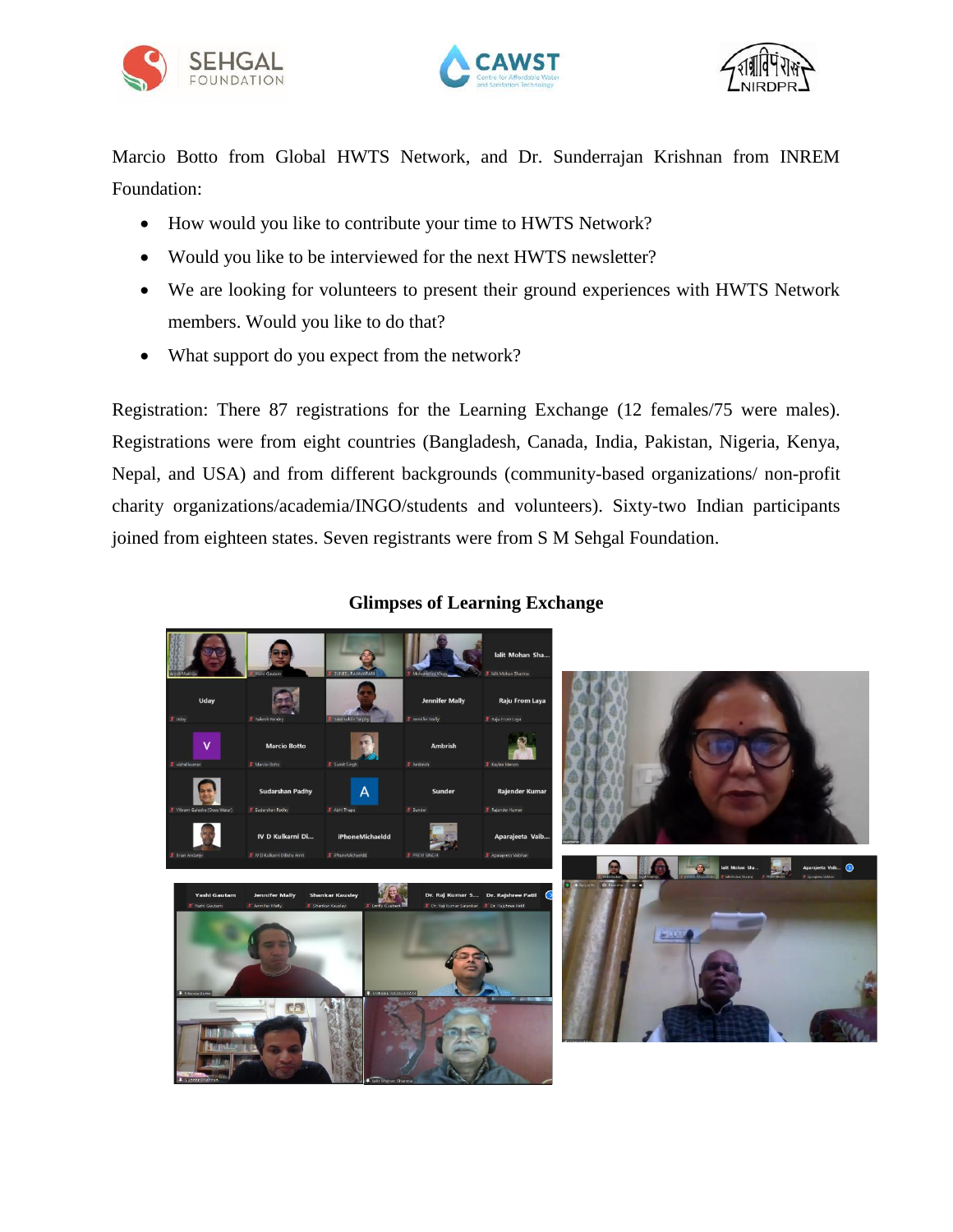





Marcio Botto from Global HWTS Network, and Dr. Sunderrajan Krishnan from INREM Foundation:

- How would you like to contribute your time to HWTS Network?
- Would you like to be interviewed for the next HWTS newsletter?
- We are looking for volunteers to present their ground experiences with HWTS Network members. Would you like to do that?
- What support do you expect from the network?

Registration: There 87 registrations for the Learning Exchange (12 females/75 were males). Registrations were from eight countries (Bangladesh, Canada, India, Pakistan, Nigeria, Kenya, Nepal, and USA) and from different backgrounds (community-based organizations/ non-profit charity organizations/academia/INGO/students and volunteers). Sixty-two Indian participants joined from eighteen states. Seven registrants were from S M Sehgal Foundation.



#### **Glimpses of Learning Exchange**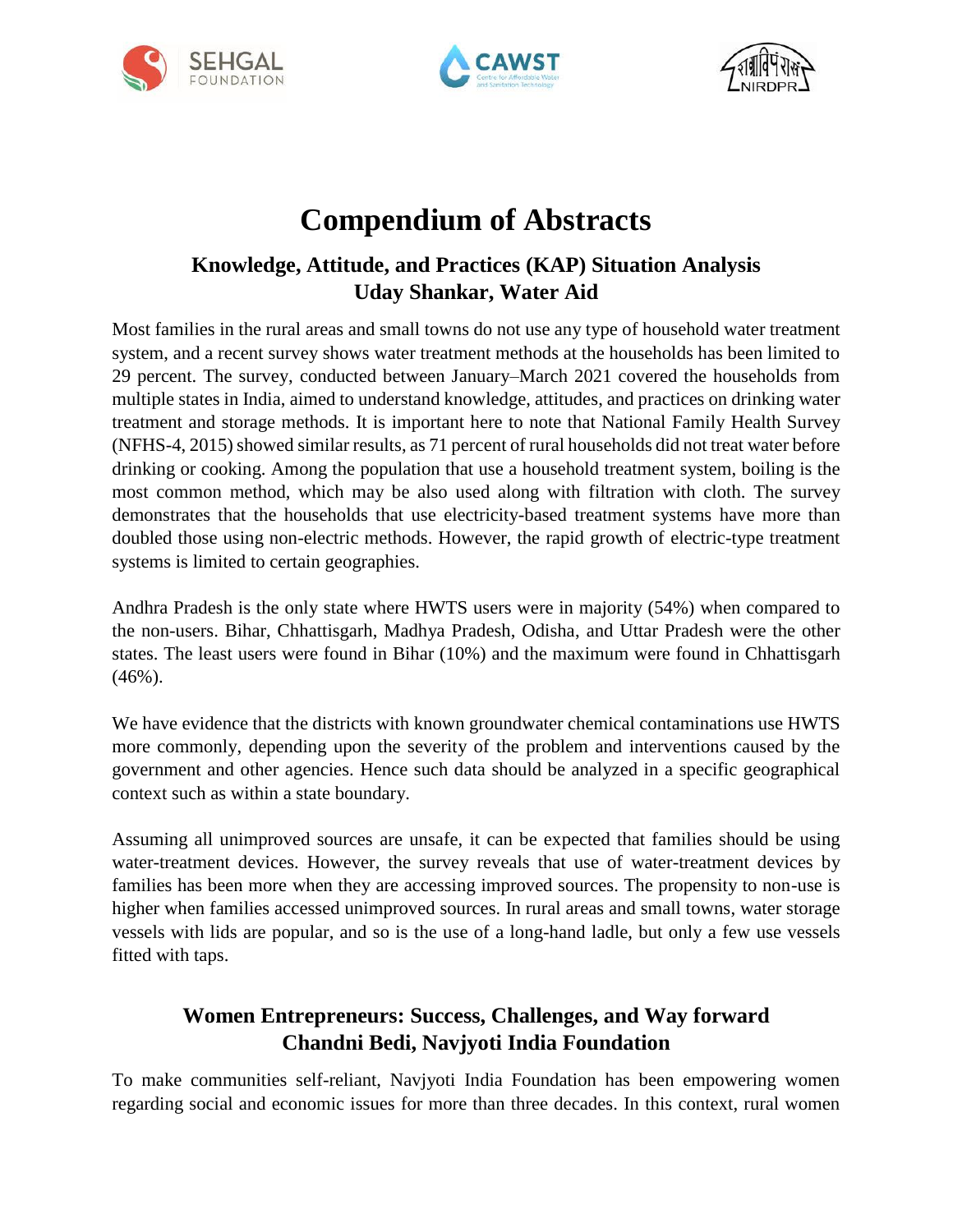





# **Compendium of Abstracts**

# **Knowledge, Attitude, and Practices (KAP) Situation Analysis Uday Shankar, Water Aid**

Most families in the rural areas and small towns do not use any type of household water treatment system, and a recent survey shows water treatment methods at the households has been limited to 29 percent. The survey, conducted between January–March 2021 covered the households from multiple states in India, aimed to understand knowledge, attitudes, and practices on drinking water treatment and storage methods. It is important here to note that National Family Health Survey (NFHS-4, 2015) showed similar results, as 71 percent of rural households did not treat water before drinking or cooking. Among the population that use a household treatment system, boiling is the most common method, which may be also used along with filtration with cloth. The survey demonstrates that the households that use electricity-based treatment systems have more than doubled those using non-electric methods. However, the rapid growth of electric-type treatment systems is limited to certain geographies.

Andhra Pradesh is the only state where HWTS users were in majority (54%) when compared to the non-users. Bihar, Chhattisgarh, Madhya Pradesh, Odisha, and Uttar Pradesh were the other states. The least users were found in Bihar (10%) and the maximum were found in Chhattisgarh (46%).

We have evidence that the districts with known groundwater chemical contaminations use HWTS more commonly, depending upon the severity of the problem and interventions caused by the government and other agencies. Hence such data should be analyzed in a specific geographical context such as within a state boundary.

Assuming all unimproved sources are unsafe, it can be expected that families should be using water-treatment devices. However, the survey reveals that use of water-treatment devices by families has been more when they are accessing improved sources. The propensity to non-use is higher when families accessed unimproved sources. In rural areas and small towns, water storage vessels with lids are popular, and so is the use of a long-hand ladle, but only a few use vessels fitted with taps.

# **Women Entrepreneurs: Success, Challenges, and Way forward Chandni Bedi, Navjyoti India Foundation**

To make communities self-reliant, Navjyoti India Foundation has been empowering women regarding social and economic issues for more than three decades. In this context, rural women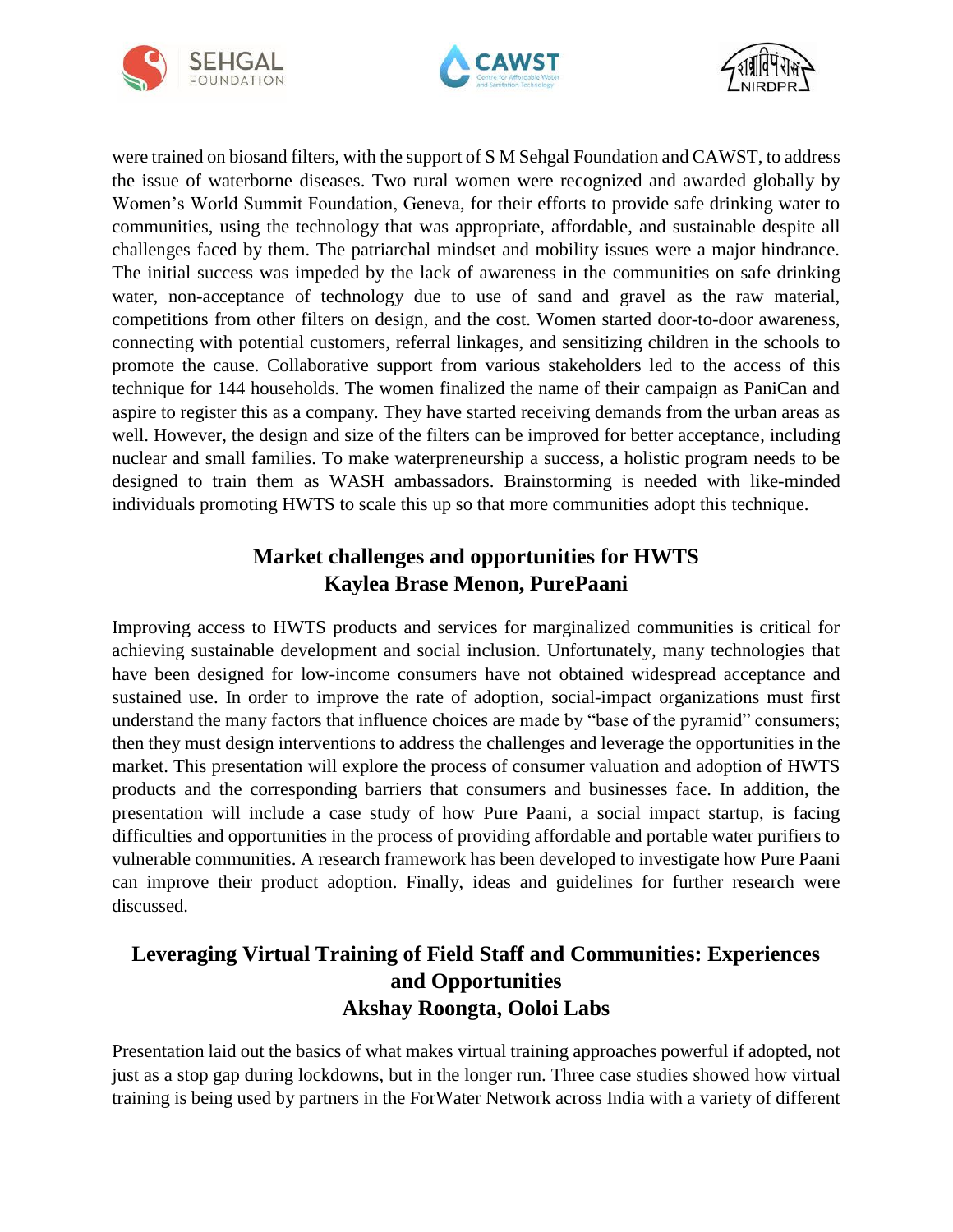





were trained on biosand filters, with the support of S M Sehgal Foundation and CAWST, to address the issue of waterborne diseases. Two rural women were recognized and awarded globally by Women's World Summit Foundation, Geneva, for their efforts to provide safe drinking water to communities, using the technology that was appropriate, affordable, and sustainable despite all challenges faced by them. The patriarchal mindset and mobility issues were a major hindrance. The initial success was impeded by the lack of awareness in the communities on safe drinking water, non-acceptance of technology due to use of sand and gravel as the raw material, competitions from other filters on design, and the cost. Women started door-to-door awareness, connecting with potential customers, referral linkages, and sensitizing children in the schools to promote the cause. Collaborative support from various stakeholders led to the access of this technique for 144 households. The women finalized the name of their campaign as PaniCan and aspire to register this as a company. They have started receiving demands from the urban areas as well. However, the design and size of the filters can be improved for better acceptance, including nuclear and small families. To make waterpreneurship a success, a holistic program needs to be designed to train them as WASH ambassadors. Brainstorming is needed with like-minded individuals promoting HWTS to scale this up so that more communities adopt this technique.

# **Market challenges and opportunities for HWTS Kaylea Brase Menon, PurePaani**

Improving access to HWTS products and services for marginalized communities is critical for achieving sustainable development and social inclusion. Unfortunately, many technologies that have been designed for low-income consumers have not obtained widespread acceptance and sustained use. In order to improve the rate of adoption, social-impact organizations must first understand the many factors that influence choices are made by "base of the pyramid" consumers; then they must design interventions to address the challenges and leverage the opportunities in the market. This presentation will explore the process of consumer valuation and adoption of HWTS products and the corresponding barriers that consumers and businesses face. In addition, the presentation will include a case study of how Pure Paani, a social impact startup, is facing difficulties and opportunities in the process of providing affordable and portable water purifiers to vulnerable communities. A research framework has been developed to investigate how Pure Paani can improve their product adoption. Finally, ideas and guidelines for further research were discussed.

# **Leveraging Virtual Training of Field Staff and Communities: Experiences and Opportunities Akshay Roongta, Ooloi Labs**

Presentation laid out the basics of what makes virtual training approaches powerful if adopted, not just as a stop gap during lockdowns, but in the longer run. Three case studies showed how virtual training is being used by partners in the ForWater Network across India with a variety of different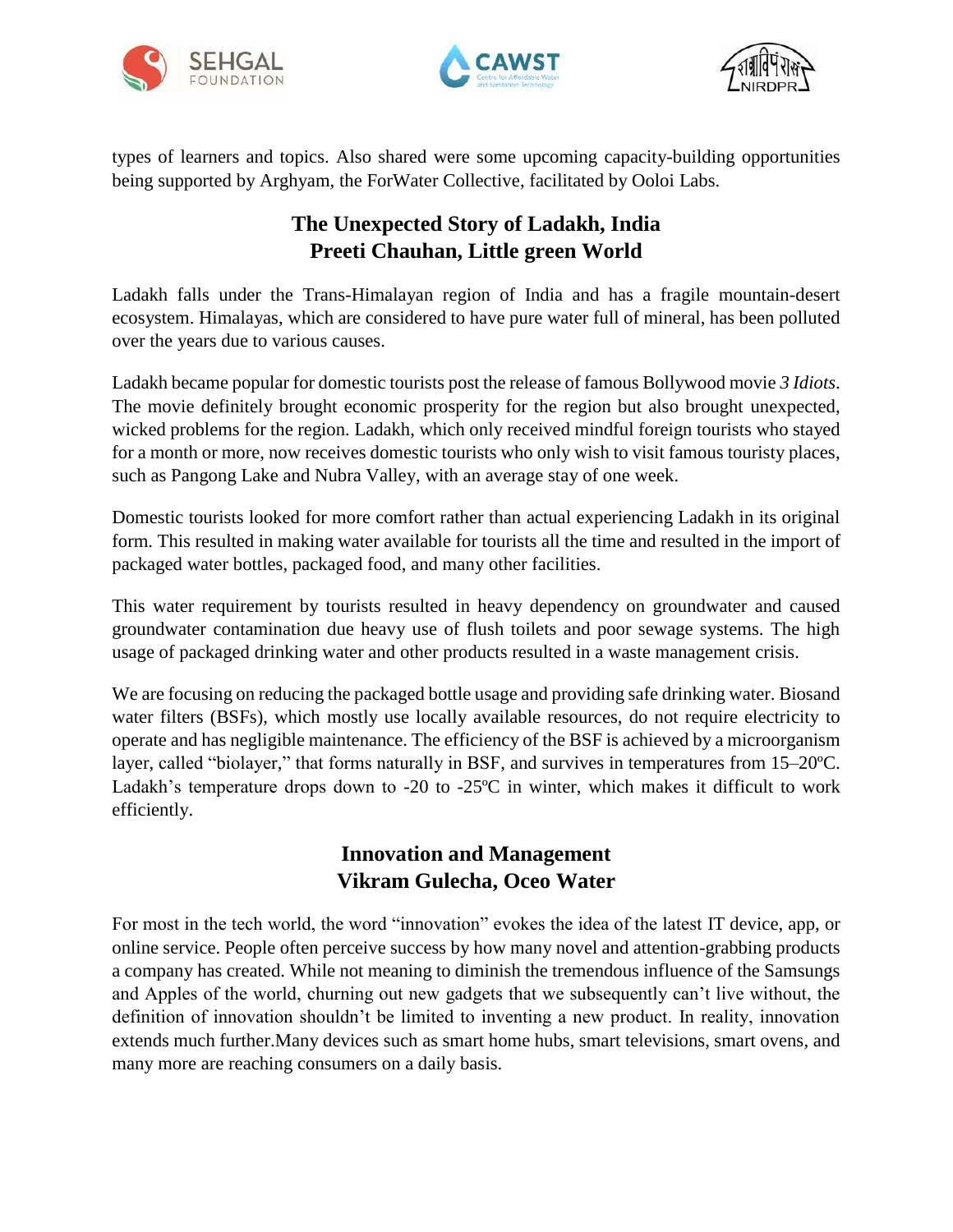





types of learners and topics. Also shared were some upcoming capacity-building opportunities being supported by Arghyam, the ForWater Collective, facilitated by Ooloi Labs.

# **The Unexpected Story of Ladakh, India Preeti Chauhan, Little green World**

Ladakh falls under the Trans-Himalayan region of India and has a fragile mountain-desert ecosystem. Himalayas, which are considered to have pure water full of mineral, has been polluted over the years due to various causes.

Ladakh became popular for domestic tourists post the release of famous Bollywood movie *3 Idiots*. The movie definitely brought economic prosperity for the region but also brought unexpected, wicked problems for the region. Ladakh, which only received mindful foreign tourists who stayed for a month or more, now receives domestic tourists who only wish to visit famous touristy places, such as Pangong Lake and Nubra Valley, with an average stay of one week.

Domestic tourists looked for more comfort rather than actual experiencing Ladakh in its original form. This resulted in making water available for tourists all the time and resulted in the import of packaged water bottles, packaged food, and many other facilities.

This water requirement by tourists resulted in heavy dependency on groundwater and caused groundwater contamination due heavy use of flush toilets and poor sewage systems. The high usage of packaged drinking water and other products resulted in a waste management crisis.

We are focusing on reducing the packaged bottle usage and providing safe drinking water. Biosand water filters (BSFs), which mostly use locally available resources, do not require electricity to operate and has negligible maintenance. The efficiency of the BSF is achieved by a microorganism layer, called "biolayer," that forms naturally in BSF, and survives in temperatures from 15–20ºC. Ladakh's temperature drops down to -20 to -25ºC in winter, which makes it difficult to work efficiently.

# **Innovation and Management Vikram Gulecha, Oceo Water**

For most in the tech world, the word "innovation" evokes the idea of the latest IT device, app, or online service. People often perceive success by how many novel and attention-grabbing products a company has created. While not meaning to diminish the tremendous influence of the Samsungs and Apples of the world, churning out new gadgets that we subsequently can't live without, the definition of innovation shouldn't be limited to inventing a new product. In reality, innovation extends much further.Many devices such as smart home hubs, smart televisions, smart ovens, and many more are reaching consumers on a daily basis.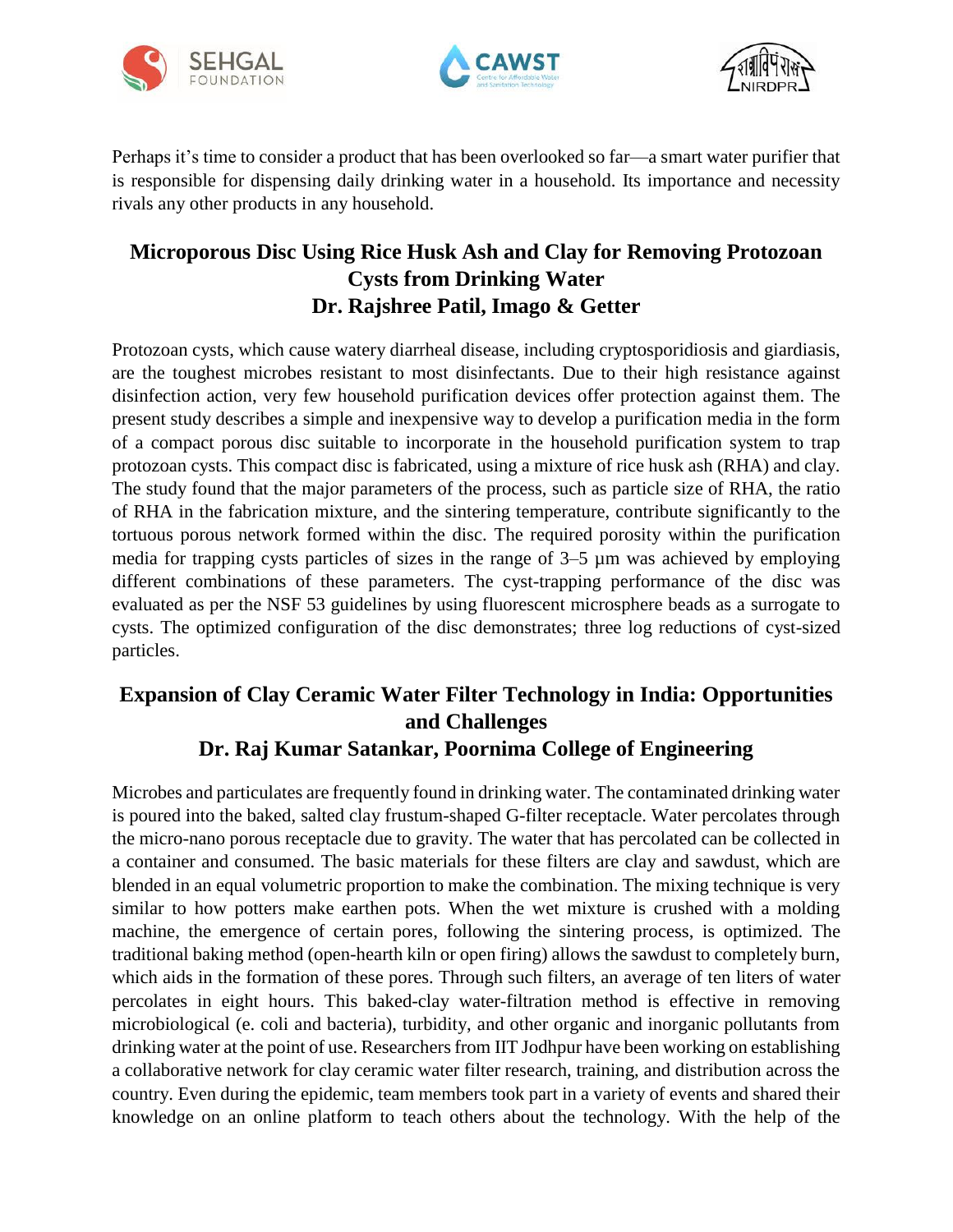





Perhaps it's time to consider a product that has been overlooked so far—a smart water purifier that is responsible for dispensing daily drinking water in a household. Its importance and necessity rivals any other products in any household.

# **Microporous Disc Using Rice Husk Ash and Clay for Removing Protozoan Cysts from Drinking Water Dr. Rajshree Patil, Imago & Getter**

Protozoan cysts, which cause watery diarrheal disease, including cryptosporidiosis and giardiasis, are the toughest microbes resistant to most disinfectants. Due to their high resistance against disinfection action, very few household purification devices offer protection against them. The present study describes a simple and inexpensive way to develop a purification media in the form of a compact porous disc suitable to incorporate in the household purification system to trap protozoan cysts. This compact disc is fabricated, using a mixture of rice husk ash (RHA) and clay. The study found that the major parameters of the process, such as particle size of RHA, the ratio of RHA in the fabrication mixture, and the sintering temperature, contribute significantly to the tortuous porous network formed within the disc. The required porosity within the purification media for trapping cysts particles of sizes in the range of 3–5 µm was achieved by employing different combinations of these parameters. The cyst-trapping performance of the disc was evaluated as per the NSF 53 guidelines by using fluorescent microsphere beads as a surrogate to cysts. The optimized configuration of the disc demonstrates; three log reductions of cyst-sized particles.

# **Expansion of Clay Ceramic Water Filter Technology in India: Opportunities and Challenges Dr. Raj Kumar Satankar, Poornima College of Engineering**

Microbes and particulates are frequently found in drinking water. The contaminated drinking water is poured into the baked, salted clay frustum-shaped G-filter receptacle. Water percolates through the micro-nano porous receptacle due to gravity. The water that has percolated can be collected in a container and consumed. The basic materials for these filters are clay and sawdust, which are blended in an equal volumetric proportion to make the combination. The mixing technique is very similar to how potters make earthen pots. When the wet mixture is crushed with a molding machine, the emergence of certain pores, following the sintering process, is optimized. The traditional baking method (open-hearth kiln or open firing) allows the sawdust to completely burn, which aids in the formation of these pores. Through such filters, an average of ten liters of water percolates in eight hours. This baked-clay water-filtration method is effective in removing microbiological (e. coli and bacteria), turbidity, and other organic and inorganic pollutants from drinking water at the point of use. Researchers from IIT Jodhpur have been working on establishing a collaborative network for clay ceramic water filter research, training, and distribution across the country. Even during the epidemic, team members took part in a variety of events and shared their knowledge on an online platform to teach others about the technology. With the help of the